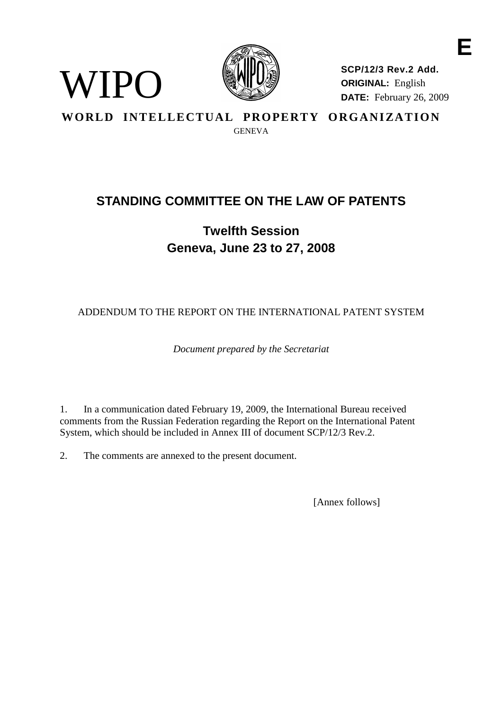

**SCP/12/3 Rev.2 Add. ORIGINAL:** English **DATE:** February 26, 2009 **E**

**WORLD INTELLECTUAL PROPERTY ORGANIZATION**

GENEVA

# **STANDING COMMITTEE ON THE LAW OF PATENTS**

**Twelfth Session Geneva, June 23 to 27, 2008**

ADDENDUM TO THE REPORT ON THE INTERNATIONAL PATENT SYSTEM

*Document prepared by the Secretariat*

1. In a communication dated February 19, 2009, the International Bureau received comments from the Russian Federation regarding the Report on the International Patent System, which should be included in Annex III of document SCP/12/3 Rev.2.

2. The comments are annexed to the present document.

WIPO

[Annex follows]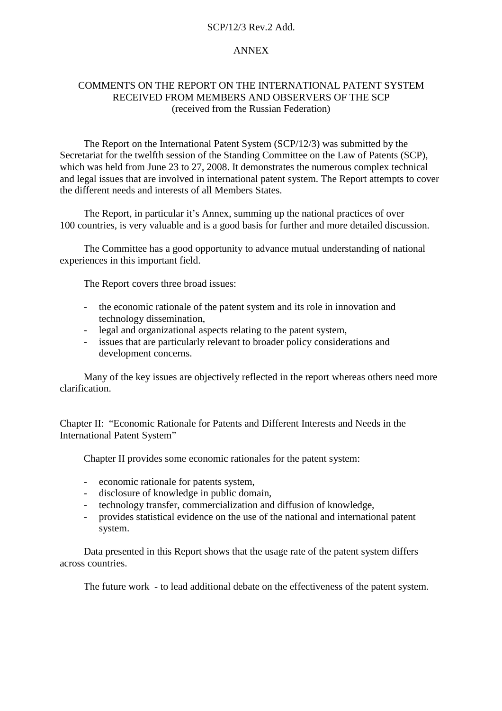### SCP/12/3 Rev.2 Add.

## ANNEX

# COMMENTS ON THE REPORT ON THE INTERNATIONAL PATENT SYSTEM RECEIVED FROM MEMBERS AND OBSERVERS OF THE SCP (received from the Russian Federation)

The Report on the International Patent System (SCP/12/3) was submitted by the Secretariat for the twelfth session of the Standing Committee on the Law of Patents (SCP), which was held from June 23 to 27, 2008. It demonstrates the numerous complex technical and legal issues that are involved in international patent system. The Report attempts to cover the different needs and interests of all Members States.

The Report, in particular it's Annex, summing up the national practices of over 100 countries, is very valuable and is a good basis for further and more detailed discussion.

The Committee has a good opportunity to advance mutual understanding of national experiences in this important field.

The Report covers three broad issues:

- the economic rationale of the patent system and its role in innovation and technology dissemination,
- legal and organizational aspects relating to the patent system,
- issues that are particularly relevant to broader policy considerations and development concerns.

Many of the key issues are objectively reflected in the report whereas others need more clarification.

Chapter II: "Economic Rationale for Patents and Different Interests and Needs in the International Patent System"

Chapter II provides some economic rationales for the patent system:

- economic rationale for patents system,
- disclosure of knowledge in public domain,
- technology transfer, commercialization and diffusion of knowledge,
- provides statistical evidence on the use of the national and international patent system.

Data presented in this Report shows that the usage rate of the patent system differs across countries.

The future work - to lead additional debate on the effectiveness of the patent system.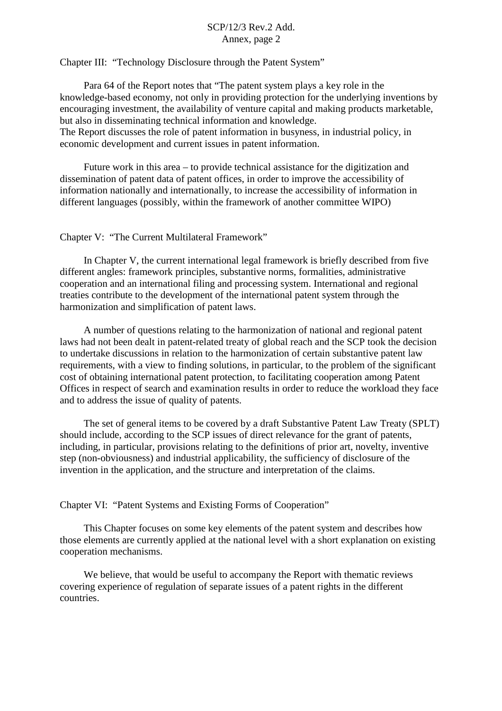# $SCP/12/3$  Rev. 2. Add. Annex, page 2

Chapter III: "Technology Disclosure through the Patent System"

economic development and current issues in patent information.

Para 64 of the Report notes that "The patent system plays a key role in the knowledge-based economy, not only in providing protection for the underlying inventions by encouraging investment, the availability of venture capital and making products marketable, but also in disseminating technical information and knowledge. The Report discusses the role of patent information in busyness, in industrial policy, in

Future work in this area – to provide technical assistance for the digitization and dissemination of patent data of patent offices, in order to improve the accessibility of information nationally and internationally, to increase the accessibility of information in different languages (possibly, within the framework of another committee WIPO)

#### Chapter V: "The Current Multilateral Framework"

In Chapter V, the current international legal framework is briefly described from five different angles: framework principles, substantive norms, formalities, administrative cooperation and an international filing and processing system. International and regional treaties contribute to the development of the international patent system through the harmonization and simplification of patent laws.

A number of questions relating to the harmonization of national and regional patent laws had not been dealt in patent-related treaty of global reach and the SCP took the decision to undertake discussions in relation to the harmonization of certain substantive patent law requirements, with a view to finding solutions, in particular, to the problem of the significant cost of obtaining international patent protection, to facilitating cooperation among Patent Offices in respect of search and examination results in order to reduce the workload they face and to address the issue of quality of patents.

The set of general items to be covered by a draft Substantive Patent Law Treaty (SPLT) should include, according to the SCP issues of direct relevance for the grant of patents, including, in particular, provisions relating to the definitions of prior art, novelty, inventive step (non-obviousness) and industrial applicability, the sufficiency of disclosure of the invention in the application, and the structure and interpretation of the claims.

Chapter VI: "Patent Systems and Existing Forms of Cooperation"

This Chapter focuses on some key elements of the patent system and describes how those elements are currently applied at the national level with a short explanation on existing cooperation mechanisms.

We believe, that would be useful to accompany the Report with thematic reviews covering experience of regulation of separate issues of a patent rights in the different countries.